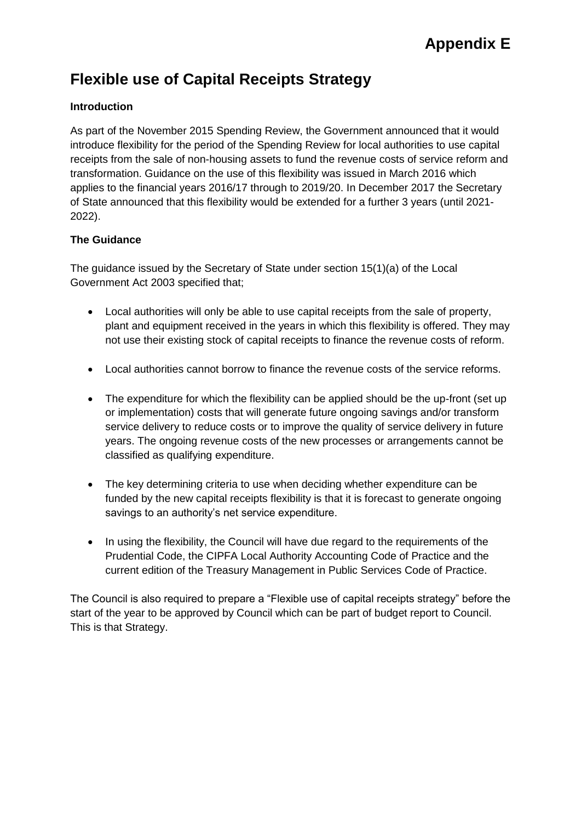# **Flexible use of Capital Receipts Strategy**

## **Introduction**

As part of the November 2015 Spending Review, the Government announced that it would introduce flexibility for the period of the Spending Review for local authorities to use capital receipts from the sale of non-housing assets to fund the revenue costs of service reform and transformation. Guidance on the use of this flexibility was issued in March 2016 which applies to the financial years 2016/17 through to 2019/20. In December 2017 the Secretary of State announced that this flexibility would be extended for a further 3 years (until 2021- 2022).

## **The Guidance**

The guidance issued by the Secretary of State under section 15(1)(a) of the Local Government Act 2003 specified that;

- Local authorities will only be able to use capital receipts from the sale of property, plant and equipment received in the years in which this flexibility is offered. They may not use their existing stock of capital receipts to finance the revenue costs of reform.
- Local authorities cannot borrow to finance the revenue costs of the service reforms.
- The expenditure for which the flexibility can be applied should be the up-front (set up or implementation) costs that will generate future ongoing savings and/or transform service delivery to reduce costs or to improve the quality of service delivery in future years. The ongoing revenue costs of the new processes or arrangements cannot be classified as qualifying expenditure.
- The key determining criteria to use when deciding whether expenditure can be funded by the new capital receipts flexibility is that it is forecast to generate ongoing savings to an authority's net service expenditure.
- In using the flexibility, the Council will have due regard to the requirements of the Prudential Code, the CIPFA Local Authority Accounting Code of Practice and the current edition of the Treasury Management in Public Services Code of Practice.

The Council is also required to prepare a "Flexible use of capital receipts strategy" before the start of the year to be approved by Council which can be part of budget report to Council. This is that Strategy.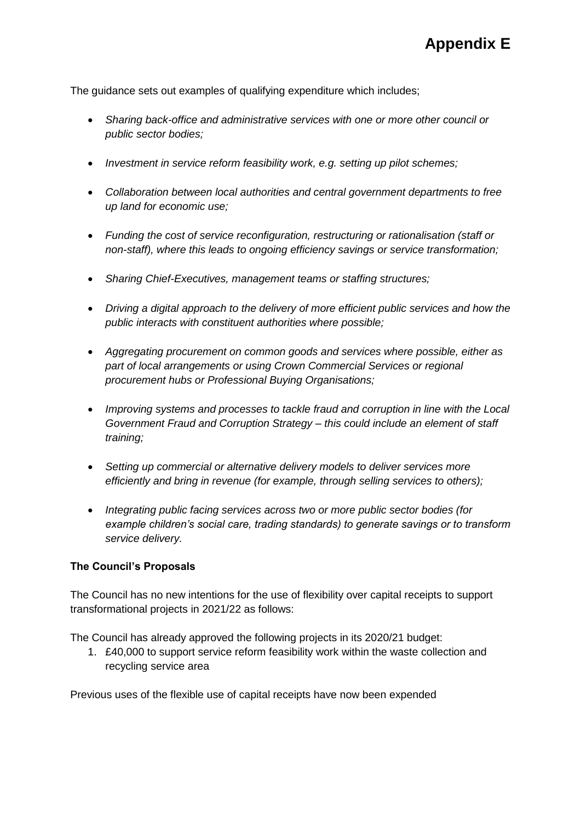The guidance sets out examples of qualifying expenditure which includes;

- *Sharing back-office and administrative services with one or more other council or public sector bodies;*
- *Investment in service reform feasibility work, e.g. setting up pilot schemes;*
- *Collaboration between local authorities and central government departments to free up land for economic use;*
- *Funding the cost of service reconfiguration, restructuring or rationalisation (staff or non-staff), where this leads to ongoing efficiency savings or service transformation;*
- *Sharing Chief-Executives, management teams or staffing structures;*
- *Driving a digital approach to the delivery of more efficient public services and how the public interacts with constituent authorities where possible;*
- *Aggregating procurement on common goods and services where possible, either as part of local arrangements or using Crown Commercial Services or regional procurement hubs or Professional Buying Organisations;*
- *Improving systems and processes to tackle fraud and corruption in line with the Local Government Fraud and Corruption Strategy – this could include an element of staff training;*
- *Setting up commercial or alternative delivery models to deliver services more efficiently and bring in revenue (for example, through selling services to others);*
- *Integrating public facing services across two or more public sector bodies (for example children's social care, trading standards) to generate savings or to transform service delivery.*

### **The Council's Proposals**

The Council has no new intentions for the use of flexibility over capital receipts to support transformational projects in 2021/22 as follows:

The Council has already approved the following projects in its 2020/21 budget:

1. £40,000 to support service reform feasibility work within the waste collection and recycling service area

Previous uses of the flexible use of capital receipts have now been expended